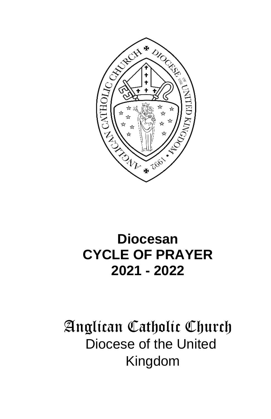

# **Diocesan CYCLE OF PRAYER 2021 - 2022**

# Anglican Catholic Church Diocese of the United Kingdom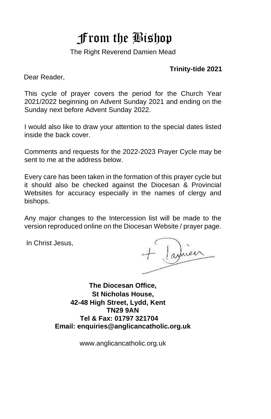# From the Bishop

The Right Reverend Damien Mead

#### **Trinity-tide 2021**

Dear Reader,

This cycle of prayer covers the period for the Church Year 2021/2022 beginning on Advent Sunday 2021 and ending on the Sunday next before Advent Sunday 2022.

I would also like to draw your attention to the special dates listed inside the back cover.

Comments and requests for the 2022-2023 Prayer Cycle may be sent to me at the address below.

Every care has been taken in the formation of this prayer cycle but it should also be checked against the Diocesan & Provincial Websites for accuracy especially in the names of clergy and bishops.

Any major changes to the Intercession list will be made to the version reproduced online on the Diocesan Website / prayer page.

In Christ Jesus,

**The Diocesan Office, St Nicholas House, 42-48 High Street, Lydd, Kent TN29 9AN Tel & Fax: 01797 321704 Email: enquiries@anglicancatholic.org.uk** 

www.anglicancatholic.org.uk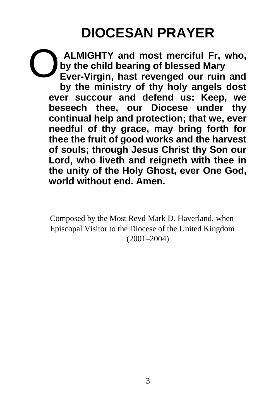# **DIOCESAN PRAYER**

**ALMIGHTY and most merciful Fr, who, by the child bearing of blessed Mary Ever-Virgin, hast revenged our ruin and by the ministry of thy holy angels dost ever succour and defend us: Keep, we beseech thee, our Diocese under thy continual help and protection; that we, ever needful of thy grace, may bring forth for thee the fruit of good works and the harvest of souls; through Jesus Christ thy Son our Lord, who liveth and reigneth with thee in the unity of the Holy Ghost, ever One God, world without end. Amen.**  O

Composed by the Most Revd Mark D. Haverland, when Episcopal Visitor to the Diocese of the United Kingdom (2001–2004)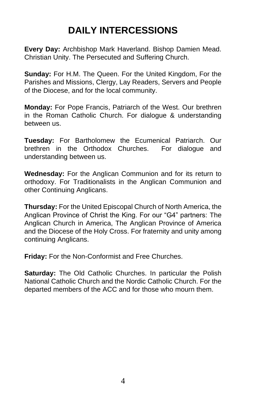# **DAILY INTERCESSIONS**

**Every Day:** Archbishop Mark Haverland. Bishop Damien Mead. Christian Unity. The Persecuted and Suffering Church.

**Sunday:** For H.M. The Queen. For the United Kingdom, For the Parishes and Missions, Clergy, Lay Readers, Servers and People of the Diocese, and for the local community.

**Monday:** For Pope Francis, Patriarch of the West. Our brethren in the Roman Catholic Church. For dialogue & understanding between us.

**Tuesday:** For Bartholomew the Ecumenical Patriarch. Our brethren in the Orthodox Churches. For dialogue and understanding between us.

**Wednesday:** For the Anglican Communion and for its return to orthodoxy. For Traditionalists in the Anglican Communion and other Continuing Anglicans.

**Thursday:** For the United Episcopal Church of North America, the Anglican Province of Christ the King. For our "G4" partners: The Anglican Church in America, The Anglican Province of America and the Diocese of the Holy Cross. For fraternity and unity among continuing Anglicans.

**Friday:** For the Non-Conformist and Free Churches.

**Saturday:** The Old Catholic Churches. In particular the Polish National Catholic Church and the Nordic Catholic Church. For the departed members of the ACC and for those who mourn them.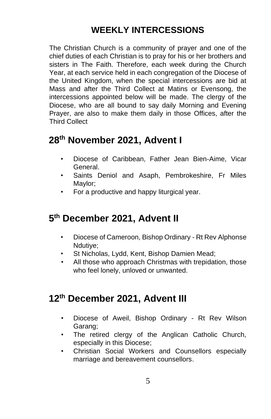#### **WEEKLY INTERCESSIONS**

The Christian Church is a community of prayer and one of the chief duties of each Christian is to pray for his or her brothers and sisters in The Faith. Therefore, each week during the Church Year, at each service held in each congregation of the Diocese of the United Kingdom, when the special intercessions are bid at Mass and after the Third Collect at Matins or Evensong, the intercessions appointed below will be made. The clergy of the Diocese, who are all bound to say daily Morning and Evening Prayer, are also to make them daily in those Offices, after the Third Collect

#### **28th November 2021, Advent I**

- Diocese of Caribbean, Father Jean Bien-Aime, Vicar General.
- Saints Deniol and Asaph, Pembrokeshire, Fr Miles Maylor;
- For a productive and happy liturgical year.

#### **5 th December 2021, Advent II**

- Diocese of Cameroon, Bishop Ordinary Rt Rev Alphonse Ndutiye;
- St Nicholas, Lydd, Kent, Bishop Damien Mead;
- All those who approach Christmas with trepidation, those who feel lonely, unloved or unwanted.

#### **12th December 2021, Advent III**

- Diocese of Aweil, Bishop Ordinary Rt Rev Wilson Garang;
- The retired clergy of the Anglican Catholic Church, especially in this Diocese;
- Christian Social Workers and Counsellors especially marriage and bereavement counsellors.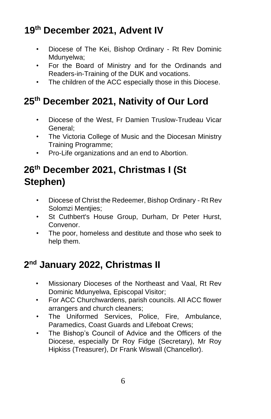# **19th December 2021, Advent IV**

- Diocese of The Kei, Bishop Ordinary Rt Rev Dominic Mdunyelwa;
- For the Board of Ministry and for the Ordinands and Readers-in-Training of the DUK and vocations.
- The children of the ACC especially those in this Diocese.

# **25th December 2021, Nativity of Our Lord**

- Diocese of the West, Fr Damien Truslow-Trudeau Vicar General;
- The Victoria College of Music and the Diocesan Ministry Training Programme;
- Pro-Life organizations and an end to Abortion.

### **26th December 2021, Christmas I (St Stephen)**

- Diocese of Christ the Redeemer, Bishop Ordinary Rt Rev Solomzi Mentjies;
- St Cuthbert's House Group, Durham, Dr Peter Hurst, Convenor.
- The poor, homeless and destitute and those who seek to help them.

# **2 nd January 2022, Christmas II**

- Missionary Dioceses of the Northeast and Vaal, Rt Rev Dominic Mdunyelwa, Episcopal Visitor;
- For ACC Churchwardens, parish councils. All ACC flower arrangers and church cleaners;
- The Uniformed Services, Police, Fire, Ambulance, Paramedics, Coast Guards and Lifeboat Crews;
- The Bishop's Council of Advice and the Officers of the Diocese, especially Dr Roy Fidge (Secretary), Mr Roy Hipkiss (Treasurer), Dr Frank Wiswall (Chancellor).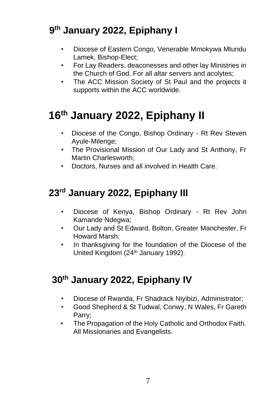# **9 th January 2022, Epiphany I**

- Diocese of Eastern Congo, Venerable Mmokywa Mtundu Lamek, Bishop-Elect;
- For Lay Readers, deaconesses and other lay Ministries in the Church of God. For all altar servers and acolytes;
- The ACC Mission Society of St Paul and the projects it supports within the ACC worldwide.

# **16th January 2022, Epiphany II**

- Diocese of the Congo, Bishop Ordinary Rt Rev Steven Ayule-Milenge;
- The Provisional Mission of Our Lady and St Anthony, Fr Martin Charlesworth;
- Doctors, Nurses and all involved in Health Care.

# **23 rd January 2022, Epiphany III**

- Diocese of Kenya, Bishop Ordinary Rt Rev John Kamande Ndegwa;
- Our Lady and St Edward, Bolton, Greater Manchester, Fr Howard Marsh;
- In thanksgiving for the foundation of the Diocese of the United Kingdom (24<sup>th</sup> January 1992).

# **30th January 2022, Epiphany IV**

- Diocese of Rwanda, Fr Shadrack Niyibizi, Administrator;
- Good Shepherd & St Tudwal, Conwy, N Wales, Fr Gareth Parry;
- The Propagation of the Holy Catholic and Orthodox Faith. All Missionaries and Evangelists.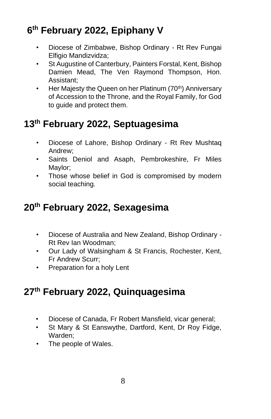# **6 th February 2022, Epiphany V**

- Diocese of Zimbabwe, Bishop Ordinary Rt Rev Fungai Elfigio Mandizvidza;
- St Augustine of Canterbury, Painters Forstal, Kent, Bishop Damien Mead, The Ven Raymond Thompson, Hon. Assistant;
- Her Majesty the Queen on her Platinum (70<sup>th</sup>) Anniversary of Accession to the Throne, and the Royal Family, for God to guide and protect them.

# **13 th February 2022, Septuagesima**

- Diocese of Lahore, Bishop Ordinary Rt Rev Mushtaq Andrew;
- Saints Deniol and Asaph, Pembrokeshire, Fr Miles Maylor;
- Those whose belief in God is compromised by modern social teaching.

# **20 th February 2022, Sexagesima**

- Diocese of Australia and New Zealand, Bishop Ordinary Rt Rev Ian Woodman;
- Our Lady of Walsingham & St Francis, Rochester, Kent, Fr Andrew Scurr;
- Preparation for a holy Lent

# **27th February 2022, Quinquagesima**

- Diocese of Canada, Fr Robert Mansfield, vicar general;
- St Mary & St Eanswythe, Dartford, Kent, Dr Roy Fidge, Warden;
- The people of Wales.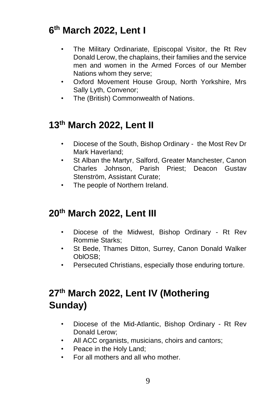#### **6 th March 2022, Lent I**

- The Military Ordinariate, Episcopal Visitor, the Rt Rev Donald Lerow, the chaplains, their families and the service men and women in the Armed Forces of our Member Nations whom they serve;
- Oxford Movement House Group, North Yorkshire, Mrs Sally Lyth, Convenor;
- The (British) Commonwealth of Nations.

#### **13 th March 2022, Lent II**

- Diocese of the South, Bishop Ordinary the Most Rev Dr Mark Haverland;
- St Alban the Martyr, Salford, Greater Manchester, Canon Charles Johnson, Parish Priest; Deacon Gustav Stenström, Assistant Curate;
- The people of Northern Ireland.

#### **20 th March 2022, Lent III**

- Diocese of the Midwest, Bishop Ordinary Rt Rev Rommie Starks;
- St Bede, Thames Ditton, Surrey, Canon Donald Walker OblOSB;
- Persecuted Christians, especially those enduring torture.

### **27th March 2022, Lent IV (Mothering Sunday)**

- Diocese of the Mid-Atlantic, Bishop Ordinary Rt Rev Donald Lerow;
- All ACC organists, musicians, choirs and cantors;
- Peace in the Holy Land;
- For all mothers and all who mother.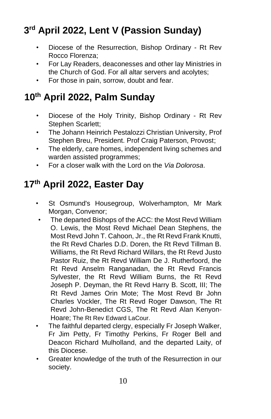# **3 rd April 2022, Lent V (Passion Sunday)**

- Diocese of the Resurrection, Bishop Ordinary Rt Rev Rocco Florenza;
- For Lay Readers, deaconesses and other lay Ministries in the Church of God. For all altar servers and acolytes;
- For those in pain, sorrow, doubt and fear.

### **10 th April 2022, Palm Sunday**

- Diocese of the Holy Trinity, Bishop Ordinary Rt Rev Stephen Scarlett;
- The Johann Heinrich Pestalozzi Christian University, Prof Stephen Breu, President. Prof Craig Paterson, Provost;
- The elderly, care homes, independent living schemes and warden assisted programmes;
- For a closer walk with the Lord on the *Via Dolorosa*.

# **17th April 2022, Easter Day**

- St Osmund's Housegroup, Wolverhampton, Mr Mark Morgan, Convenor;
- The departed Bishops of the ACC: the Most Revd William O. Lewis, the Most Revd Michael Dean Stephens, the Most Revd John T. Cahoon, Jr., the Rt Revd Frank Knutti, the Rt Revd Charles D.D. Doren, the Rt Revd Tillman B. Williams, the Rt Revd Richard Willars, the Rt Revd Justo Pastor Ruiz, the Rt Revd William De J. Rutherfoord, the Rt Revd Anselm Ranganadan, the Rt Revd Francis Sylvester, the Rt Revd William Burns, the Rt Revd Joseph P. Deyman, the Rt Revd Harry B. Scott, III; The Rt Revd James Orin Mote; The Most Revd Br John Charles Vockler, The Rt Revd Roger Dawson, The Rt Revd John-Benedict CGS, The Rt Revd Alan Kenyon-Hoare; The Rt Rev Edward LaCour.
- The faithful departed clergy, especially Fr Joseph Walker, Fr Jim Petty, Fr Timothy Perkins, Fr Roger Bell and Deacon Richard Mulholland, and the departed Laity, of this Diocese.
- Greater knowledge of the truth of the Resurrection in our society.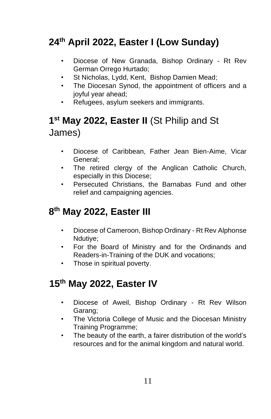# **24th April 2022, Easter I (Low Sunday)**

- Diocese of New Granada, Bishop Ordinary Rt Rev German Orrego Hurtado;
- St Nicholas, Lydd, Kent, Bishop Damien Mead;
- The Diocesan Synod, the appointment of officers and a joyful year ahead;
- Refugees, asylum seekers and immigrants.

# **1 st May 2022, Easter II** (St Philip and St James)

- Diocese of Caribbean, Father Jean Bien-Aime, Vicar General;
- The retired clergy of the Anglican Catholic Church, especially in this Diocese;
- Persecuted Christians, the Barnabas Fund and other relief and campaigning agencies.

### **8 th May 2022, Easter III**

- Diocese of Cameroon, Bishop Ordinary Rt Rev Alphonse Ndutiye;
- For the Board of Ministry and for the Ordinands and Readers-in-Training of the DUK and vocations;
- Those in spiritual poverty.

# **15th May 2022, Easter IV**

- Diocese of Aweil, Bishop Ordinary Rt Rev Wilson Garang;
- The Victoria College of Music and the Diocesan Ministry Training Programme;
- The beauty of the earth, a fairer distribution of the world's resources and for the animal kingdom and natural world.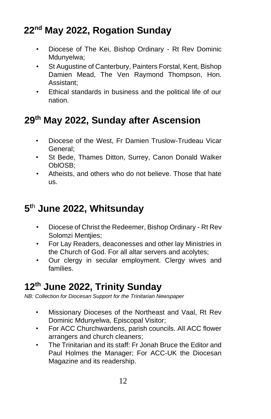# **22nd May 2022, Rogation Sunday**

- Diocese of The Kei, Bishop Ordinary Rt Rev Dominic Mdunyelwa;
- St Augustine of Canterbury, Painters Forstal, Kent, Bishop Damien Mead, The Ven Raymond Thompson, Hon. Assistant;
- Ethical standards in business and the political life of our nation.

# **29th May 2022, Sunday after Ascension**

- Diocese of the West, Fr Damien Truslow-Trudeau Vicar General;
- St Bede, Thames Ditton, Surrey, Canon Donald Walker OblOSB;
- Atheists, and others who do not believe. Those that hate us.

# **5 <sup>t</sup>**<sup>h</sup> **June 2022, Whitsunday**

- Diocese of Christ the Redeemer, Bishop Ordinary Rt Rev Solomzi Mentiies:
- For Lay Readers, deaconesses and other lay Ministries in the Church of God. For all altar servers and acolytes;
- Our clergy in secular employment. Clergy wives and families.

# **12th June 2022, Trinity Sunday**

*NB: Collection for Diocesan Support for the Trinitarian Newspaper*

- Missionary Dioceses of the Northeast and Vaal, Rt Rev Dominic Mdunyelwa, Episcopal Visitor;
- For ACC Churchwardens, parish councils. All ACC flower arrangers and church cleaners;
- The Trinitarian and its staff: Fr Jonah Bruce the Editor and Paul Holmes the Manager; For ACC-UK the Diocesan Magazine and its readership.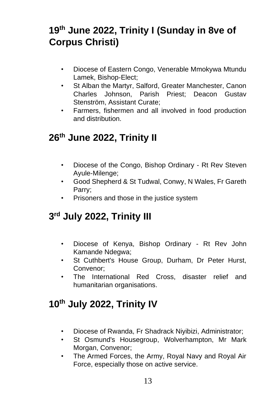# **19th June 2022, Trinity I (Sunday in 8ve of Corpus Christi)**

- Diocese of Eastern Congo, Venerable Mmokywa Mtundu Lamek, Bishop-Elect;
- St Alban the Martyr, Salford, Greater Manchester, Canon Charles Johnson, Parish Priest; Deacon Gustav Stenström, Assistant Curate;
- Farmers, fishermen and all involved in food production and distribution.

### **26th June 2022, Trinity II**

- Diocese of the Congo, Bishop Ordinary Rt Rev Steven Ayule-Milenge;
- Good Shepherd & St Tudwal, Conwy, N Wales, Fr Gareth Parry;
- Prisoners and those in the justice system

# **3 rd July 2022, Trinity III**

- Diocese of Kenya, Bishop Ordinary Rt Rev John Kamande Ndegwa;
- St Cuthbert's House Group, Durham, Dr Peter Hurst, Convenor;
- The International Red Cross, disaster relief and humanitarian organisations.

# **10 th July 2022, Trinity IV**

- Diocese of Rwanda, Fr Shadrack Niyibizi, Administrator;
- St Osmund's Housegroup, Wolverhampton, Mr Mark Morgan, Convenor;
- The Armed Forces, the Army, Royal Navy and Royal Air Force, especially those on active service.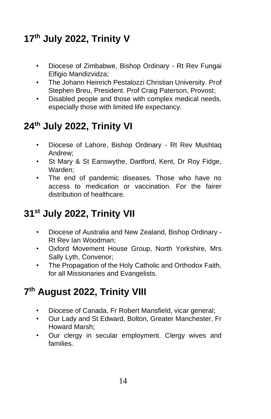# **17th July 2022, Trinity V**

- Diocese of Zimbabwe, Bishop Ordinary Rt Rev Fungai Elfigio Mandizvidza;
- The Johann Heinrich Pestalozzi Christian University. Prof Stephen Breu, President. Prof Craig Paterson, Provost;
- Disabled people and those with complex medical needs, especially those with limited life expectancy.

# **24th July 2022, Trinity VI**

- Diocese of Lahore, Bishop Ordinary Rt Rev Mushtaq Andrew;
- St Mary & St Eanswythe, Dartford, Kent, Dr Roy Fidge, Warden;
- The end of pandemic diseases. Those who have no access to medication or vaccination. For the fairer distribution of healthcare.

# **31 st July 2022, Trinity VII**

- Diocese of Australia and New Zealand, Bishop Ordinary Rt Rev Ian Woodman;
- Oxford Movement House Group, North Yorkshire, Mrs Sally Lyth, Convenor;
- The Propagation of the Holy Catholic and Orthodox Faith, for all Missionaries and Evangelists.

# **7 th August 2022, Trinity VIII**

- Diocese of Canada, Fr Robert Mansfield, vicar general;
- Our Lady and St Edward, Bolton, Greater Manchester, Fr Howard Marsh;
- Our clergy in secular employment. Clergy wives and families.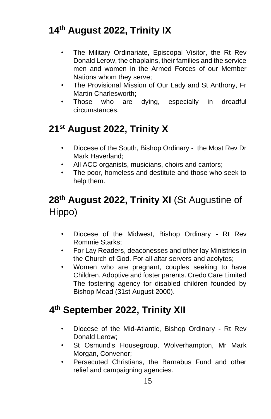# **14th August 2022, Trinity IX**

- The Military Ordinariate, Episcopal Visitor, the Rt Rev Donald Lerow, the chaplains, their families and the service men and women in the Armed Forces of our Member Nations whom they serve;
- The Provisional Mission of Our Lady and St Anthony, Fr Martin Charlesworth;
- Those who are dying, especially in dreadful circumstances.

# **21st August 2022, Trinity X**

- Diocese of the South, Bishop Ordinary the Most Rev Dr Mark Haverland;
- All ACC organists, musicians, choirs and cantors;
- The poor, homeless and destitute and those who seek to help them.

# **28th August 2022, Trinity XI** (St Augustine of Hippo)

- Diocese of the Midwest, Bishop Ordinary Rt Rev Rommie Starks;
- For Lay Readers, deaconesses and other lay Ministries in the Church of God. For all altar servers and acolytes;
- Women who are pregnant, couples seeking to have Children. Adoptive and foster parents. Credo Care Limited The fostering agency for disabled children founded by Bishop Mead (31st August 2000).

### **4 th September 2022, Trinity XII**

- Diocese of the Mid-Atlantic, Bishop Ordinary Rt Rev Donald Lerow;
- St Osmund's Housegroup, Wolverhampton, Mr Mark Morgan, Convenor;
- Persecuted Christians, the Barnabus Fund and other relief and campaigning agencies.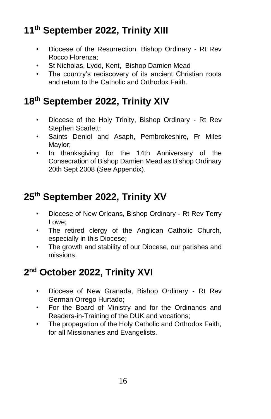# **11th September 2022, Trinity XIII**

- Diocese of the Resurrection, Bishop Ordinary Rt Rev Rocco Florenza;
- St Nicholas, Lydd, Kent, Bishop Damien Mead
- The country's rediscovery of its ancient Christian roots and return to the Catholic and Orthodox Faith.

# **18th September 2022, Trinity XIV**

- Diocese of the Holy Trinity, Bishop Ordinary Rt Rev Stephen Scarlett;
- Saints Deniol and Asaph, Pembrokeshire, Fr Miles Maylor;
- In thanksgiving for the 14th Anniversary of the Consecration of Bishop Damien Mead as Bishop Ordinary 20th Sept 2008 (See Appendix).

# **25th September 2022, Trinity XV**

- Diocese of New Orleans, Bishop Ordinary Rt Rev Terry Lowe;
- The retired clergy of the Anglican Catholic Church, especially in this Diocese;
- The growth and stability of our Diocese, our parishes and missions.

# **2 nd October 2022, Trinity XVI**

- Diocese of New Granada, Bishop Ordinary Rt Rev German Orrego Hurtado;
- For the Board of Ministry and for the Ordinands and Readers-in-Training of the DUK and vocations;
- The propagation of the Holy Catholic and Orthodox Faith, for all Missionaries and Evangelists.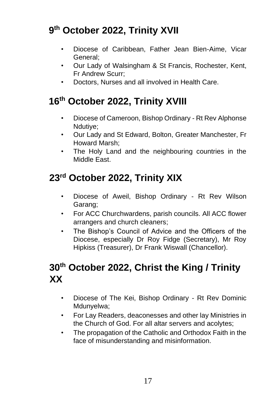# **9 th October 2022, Trinity XVII**

- Diocese of Caribbean, Father Jean Bien-Aime, Vicar General;
- Our Lady of Walsingham & St Francis, Rochester, Kent, Fr Andrew Scurr;
- Doctors, Nurses and all involved in Health Care.

# **16th October 2022, Trinity XVIII**

- Diocese of Cameroon, Bishop Ordinary Rt Rev Alphonse Ndutiye;
- Our Lady and St Edward, Bolton, Greater Manchester, Fr Howard Marsh;
- The Holy Land and the neighbouring countries in the Middle East.

# **23rd October 2022, Trinity XIX**

- Diocese of Aweil, Bishop Ordinary Rt Rev Wilson Garang;
- For ACC Churchwardens, parish councils. All ACC flower arrangers and church cleaners;
- The Bishop's Council of Advice and the Officers of the Diocese, especially Dr Roy Fidge (Secretary), Mr Roy Hipkiss (Treasurer), Dr Frank Wiswall (Chancellor).

### **30th October 2022, Christ the King / Trinity XX**

- Diocese of The Kei, Bishop Ordinary Rt Rev Dominic Mdunyelwa;
- For Lay Readers, deaconesses and other lay Ministries in the Church of God. For all altar servers and acolytes;
- The propagation of the Catholic and Orthodox Faith in the face of misunderstanding and misinformation.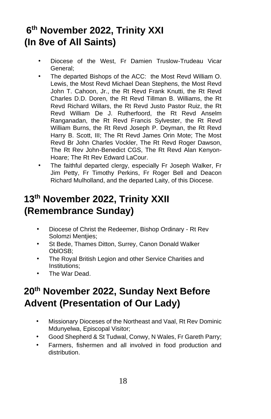# **6 th November 2022, Trinity XXI (In 8ve of All Saints)**

- Diocese of the West, Fr Damien Truslow-Trudeau Vicar General;
- The departed Bishops of the ACC: the Most Revd William O. Lewis, the Most Revd Michael Dean Stephens, the Most Revd John T. Cahoon, Jr., the Rt Revd Frank Knutti, the Rt Revd Charles D.D. Doren, the Rt Revd Tillman B. Williams, the Rt Revd Richard Willars, the Rt Revd Justo Pastor Ruiz, the Rt Revd William De J. Rutherfoord, the Rt Revd Anselm Ranganadan, the Rt Revd Francis Sylvester, the Rt Revd William Burns, the Rt Revd Joseph P. Deyman, the Rt Revd Harry B. Scott, III; The Rt Revd James Orin Mote; The Most Revd Br John Charles Vockler, The Rt Revd Roger Dawson, The Rt Rev John-Benedict CGS, The Rt Revd Alan Kenyon-Hoare; The Rt Rev Edward LaCour.
- The faithful departed clergy, especially Fr Joseph Walker, Fr Jim Petty, Fr Timothy Perkins, Fr Roger Bell and Deacon Richard Mulholland, and the departed Laity, of this Diocese.

# **13th November 2022, Trinity XXII (Remembrance Sunday)**

- Diocese of Christ the Redeemer, Bishop Ordinary Rt Rev Solomzi Mentjies;
- St Bede, Thames Ditton, Surrey, Canon Donald Walker OblOSB;
- The Royal British Legion and other Service Charities and Institutions;
- The War Dead.

### **20 th November 2022, Sunday Next Before Advent (Presentation of Our Lady)**

- Missionary Dioceses of the Northeast and Vaal, Rt Rev Dominic Mdunyelwa, Episcopal Visitor;
- Good Shepherd & St Tudwal, Conwy, N Wales, Fr Gareth Parry;
- Farmers, fishermen and all involved in food production and distribution.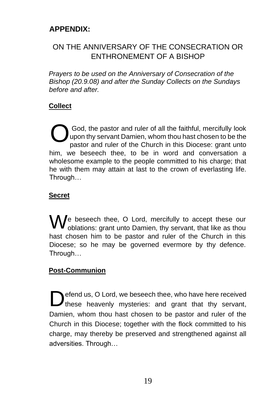#### **APPENDIX:**

#### ON THE ANNIVERSARY OF THE CONSECRATION OR ENTHRONEMENT OF A BISHOP

*Prayers to be used on the Anniversary of Consecration of the Bishop (20.9.08) and after the Sunday Collects on the Sundays before and after.* 

#### **Collect**

God, the pastor and ruler of all the faithful, mercifully look upon thy servant Damien, whom thou hast chosen to be the pastor and ruler of the Church in this Diocese: grant unto him, we beseech thee, to be in word and conversation a wholesome example to the people committed to his charge; that he with them may attain at last to the crown of everlasting life. Through… O

#### **Secret**

We beseech thee, O Lord, mercifully to accept these our oblations: grant unto Damien, thy servant, that like as thou oblations: grant unto Damien, thy servant, that like as thou hast chosen him to be pastor and ruler of the Church in this Diocese; so he may be governed evermore by thy defence. Through…

#### **Post-Communion**

efend us, O Lord, we beseech thee, who have here received **D**efend us, O Lord, we beseech thee, who have here received these heavenly mysteries: and grant that thy servant, Damien, whom thou hast chosen to be pastor and ruler of the Church in this Diocese; together with the flock committed to his charge, may thereby be preserved and strengthened against all adversities. Through…